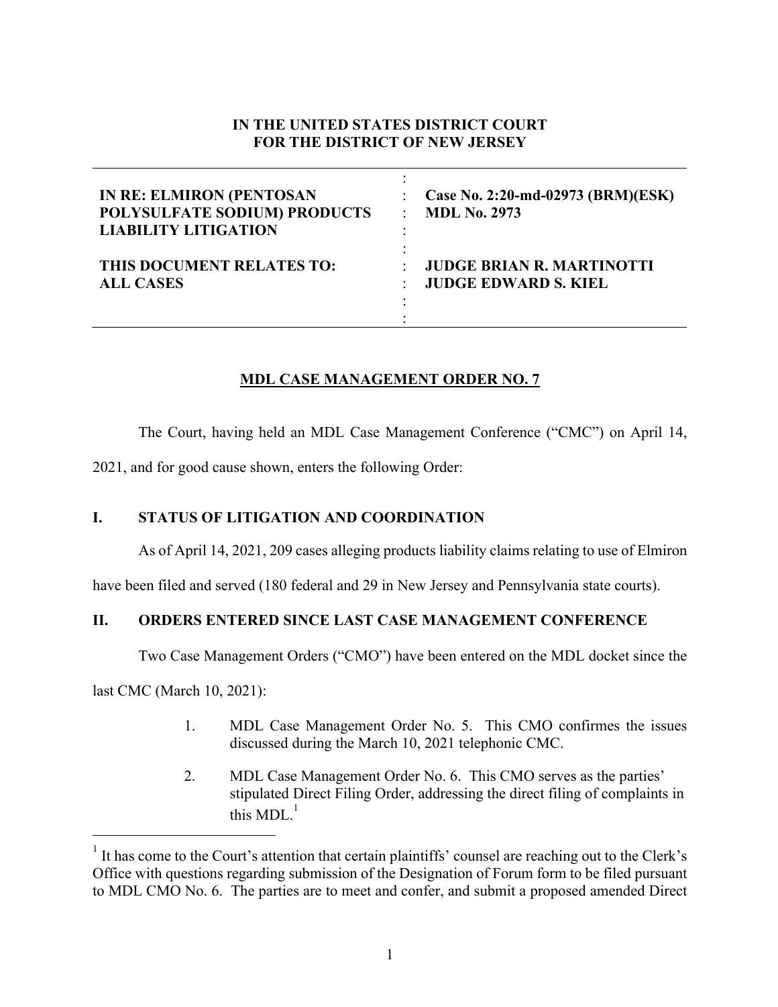# **IN THE UNITED STATES DISTRICT COURT FOR THE DISTRICT OF NEW JERSEY**

| <b>IN RE: ELMIRON (PENTOSAN</b><br>POLYSULFATE SODIUM) PRODUCTS<br><b>LIABILITY LITIGATION</b> | Case No. 2:20-md-02973 (BRM)(ESK)<br><b>MDL No. 2973</b> |
|------------------------------------------------------------------------------------------------|----------------------------------------------------------|
| THIS DOCUMENT RELATES TO:                                                                      | <b>JUDGE BRIAN R. MARTINOTTI</b>                         |
| <b>ALL CASES</b>                                                                               | <b>JUDGE EDWARD S. KIEL</b>                              |

# **MDL CASE MANAGEMENT ORDER NO. 7**

The Court, having held an MDL Case Management Conference ("CMC") on April 14,

2021, and for good cause shown, enters the following Order:

# **I. STATUS OF LITIGATION AND COORDINATION**

As of April 14, 2021, 209 cases alleging products liability claims relating to use of Elmiron

have been filed and served (180 federal and 29 in New Jersey and Pennsylvania state courts).

# **II. ORDERS ENTERED SINCE LAST CASE MANAGEMENT CONFERENCE**

Two Case Management Orders ("CMO") have been entered on the MDL docket since the

last CMC (March 10, 2021):

- 1. MDL Case Management Order No. 5. This CMO confirmes the issues discussed during the March 10, 2021 telephonic CMC.
- 2. MDL Case Management Order No. 6. This CMO serves as the parties' stipulated Direct Filing Order, addressing the direct filing of complaints in this MDL $_4^1$

<sup>&</sup>lt;sup>1</sup> It has come to the Court's attention that certain plaintiffs' counsel are reaching out to the Clerk's Office with questions regarding submission of the Designation of Forum form to be filed pursuant to MDL CMO No. 6. The parties are to meet and confer, and submit a proposed amended Direct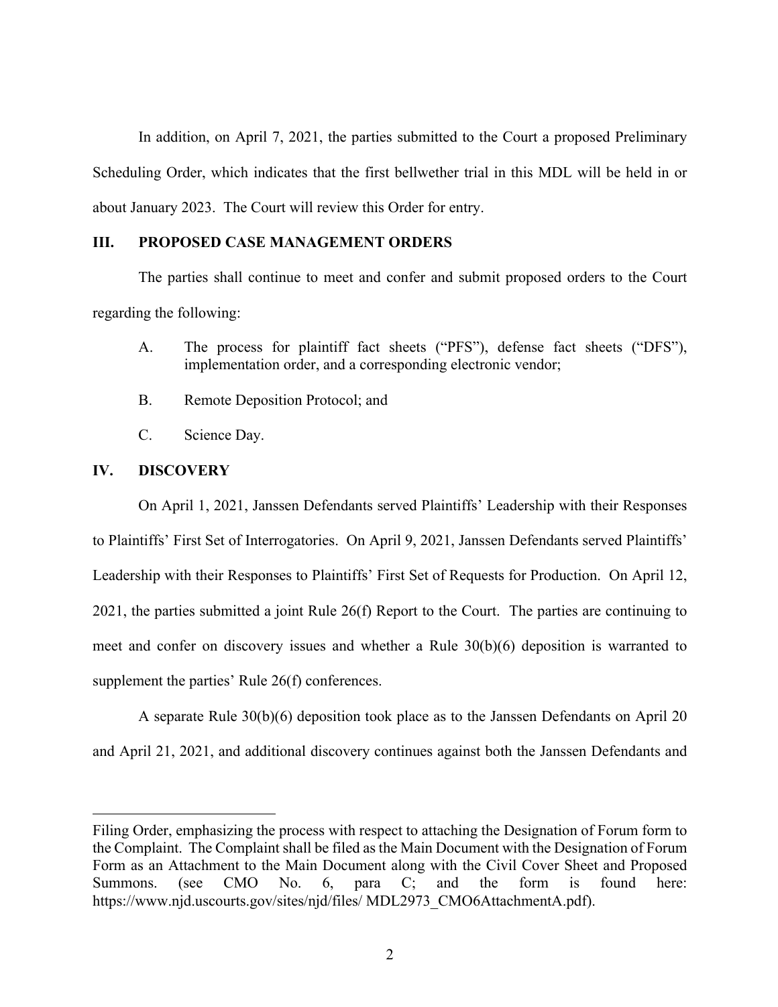In addition, on April 7, 2021, the parties submitted to the Court a proposed Preliminary Scheduling Order, which indicates that the first bellwether trial in this MDL will be held in or about January 2023. The Court will review this Order for entry.

### **III. PROPOSED CASE MANAGEMENT ORDERS**

The parties shall continue to meet and confer and submit proposed orders to the Court regarding the following:

- A. The process for plaintiff fact sheets ("PFS"), defense fact sheets ("DFS"), implementation order, and a corresponding electronic vendor;
- B. Remote Deposition Protocol; and
- C. Science Day.

## **IV. DISCOVERY**

On April 1, 2021, Janssen Defendants served Plaintiffs' Leadership with their Responses to Plaintiffs' First Set of Interrogatories. On April 9, 2021, Janssen Defendants served Plaintiffs' Leadership with their Responses to Plaintiffs' First Set of Requests for Production. On April 12, 2021, the parties submitted a joint Rule 26(f) Report to the Court. The parties are continuing to meet and confer on discovery issues and whether a Rule 30(b)(6) deposition is warranted to supplement the parties' Rule 26(f) conferences.

A separate Rule 30(b)(6) deposition took place as to the Janssen Defendants on April 20 and April 21, 2021, and additional discovery continues against both the Janssen Defendants and

Filing Order, emphasizing the process with respect to attaching the Designation of Forum form to the Complaint. The Complaint shall be filed as the Main Document with the Designation of Forum Form as an Attachment to the Main Document along with the Civil Cover Sheet and Proposed<br>Summons. (see CMO No. 6, para C; and the form is found here: Summons. (see CMO No. 6, para C; and the form is found here: https://www.njd.uscourts.gov/sites/njd/files/ MDL2973\_CMO6AttachmentA.pdf).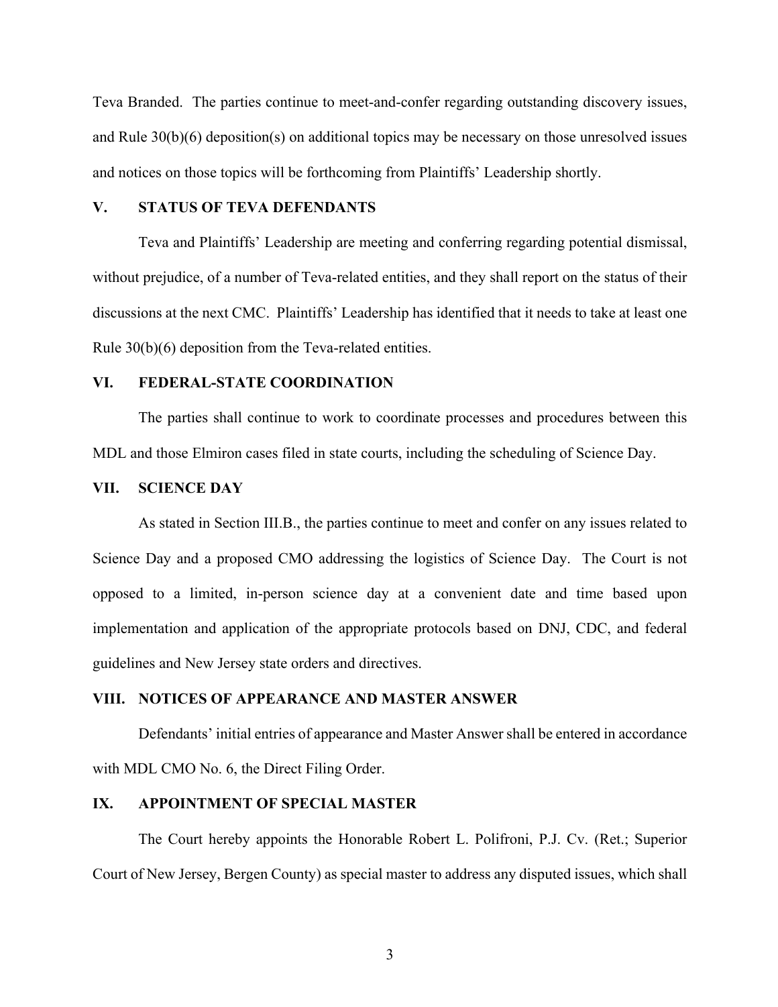Teva Branded. The parties continue to meet-and-confer regarding outstanding discovery issues, and Rule 30(b)(6) deposition(s) on additional topics may be necessary on those unresolved issues and notices on those topics will be forthcoming from Plaintiffs' Leadership shortly.

## **V. STATUS OF TEVA DEFENDANTS**

Teva and Plaintiffs' Leadership are meeting and conferring regarding potential dismissal, without prejudice, of a number of Teva-related entities, and they shall report on the status of their discussions at the next CMC. Plaintiffs' Leadership has identified that it needs to take at least one Rule 30(b)(6) deposition from the Teva-related entities.

#### **VI. FEDERAL-STATE COORDINATION**

The parties shall continue to work to coordinate processes and procedures between this MDL and those Elmiron cases filed in state courts, including the scheduling of Science Day.

#### **VII. SCIENCE DAY**

As stated in Section III.B., the parties continue to meet and confer on any issues related to Science Day and a proposed CMO addressing the logistics of Science Day. The Court is not opposed to a limited, in-person science day at a convenient date and time based upon implementation and application of the appropriate protocols based on DNJ, CDC, and federal guidelines and New Jersey state orders and directives.

## **VIII. NOTICES OF APPEARANCE AND MASTER ANSWER**

Defendants' initial entries of appearance and Master Answer shall be entered in accordance with MDL CMO No. 6, the Direct Filing Order.

### **IX. APPOINTMENT OF SPECIAL MASTER**

The Court hereby appoints the Honorable Robert L. Polifroni, P.J. Cv. (Ret.; Superior Court of New Jersey, Bergen County) as special master to address any disputed issues, which shall